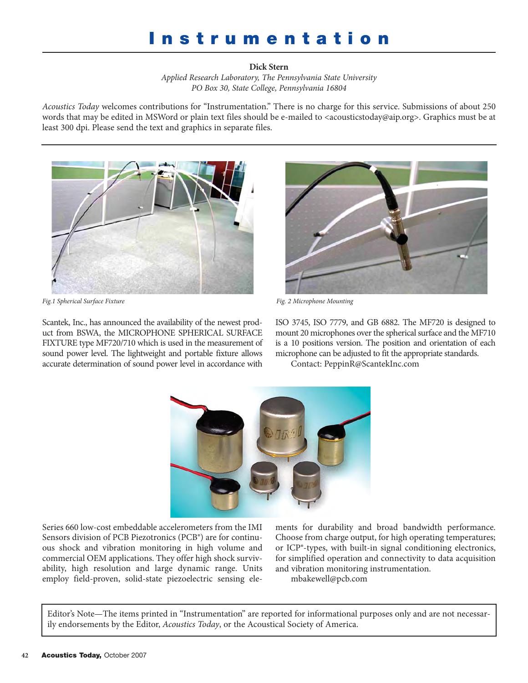## **Instrumentation**

**Dick Stern** *Applied Research Laboratory, The Pennsylvania State University PO Box 30, State College, Pennsylvania 16804*

*Acoustics Today* welcomes contributions for "Instrumentation." There is no charge for this service. Submissions of about 250 words that may be edited in MSWord or plain text files should be e-mailed to [<acousticstoday@aip.org>. Gr](mailto:acousticstoday@aip.org)aphics must be at least 300 dpi. Please send the text and graphics in separate files.



*Fig.1 Spherical Surface Fixture Fig. 2 Microphone Mounting*

Scantek, Inc., has announced the availability of the newest product from BSWA, the MICROPHONE SPHERICAL SURFACE FIXTURE type MF720/710 which is used in the measurement of sound power level. The lightweight and portable fixture allows accurate determination of sound power level in accordance with



ISO 3745, ISO 7779, and GB 6882. The MF720 is designed to mount 20 microphones over the spherical surface and the MF710 is a 10 positions version. The position and orientation of each microphone can be adjusted to fit the appropriate standards.

Contact: [PeppinR@ScantekInc.com](mailto:PeppinR@ScantekInc.com)



Series 660 low-cost embeddable accelerometers from the IMI Sensors division of PCB Piezotronics (PCB®) are for continuous shock and vibration monitoring in high volume and commercial OEM applications. They offer high shock survivability, high resolution and large dynamic range. Units employ field-proven, solid-state piezoelectric sensing elements for durability and broad bandwidth performance. Choose from charge output, for high operating temperatures; or ICP®-types, with built-in signal conditioning electronics, for simplified operation and connectivity to data acquisition and vibration monitoring instrumentation. [mbakewell@pcb.com](mailto:mbakewell@pcb.com)

Editor's Note—The items printed in "Instrumentation" are reported for informational purposes only and are not necessarily endorsements by the Editor, *Acoustics Today*, or the Acoustical Society of America.